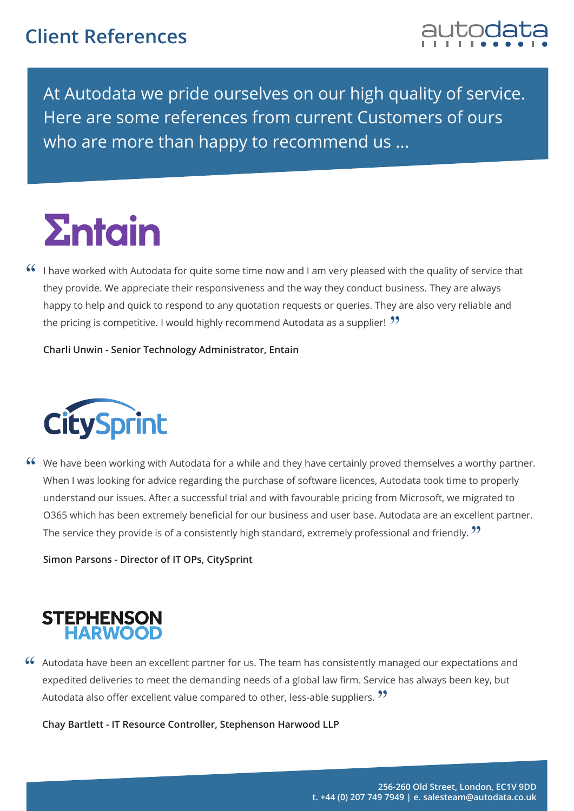## **Client References**



At Autodata we pride ourselves on our high quality of service. Here are some references from current Customers of ours who are more than happy to recommend us ...

## **<u>Entain</u>**

 $\lceil 6 \rceil$  I have worked with Autodata for quite some time now and I am very pleased with the quality of service that they provide. We appreciate their responsiveness and the way they conduct business. They are always happy to help and quick to respond to any quotation requests or queries. They are also very reliable and<br>the pricing is competitive. Uwould bigbly recommend Autodata as a supplier! <sup>22</sup> the pricing is competitive. I would highly recommend Autodata as a supplier!  $\mathcal{V}$ 

**Charli Unwin - Senior Technology Administrator, Entain**



We have been working with Autodata for a while and they have certainly proved themselves a worthy partner. "When I was looking for advice regarding the purchase of software licences, Autodata took time to properly understand our issues. After a successful trial and with favourable pricing from Microsoft, we migrated to O365 which has been extremely beneficial for our business and user base. Autodata are an excellent partner.<br>The sensice they provide is of a consistently bigh standard, extremely professional and friendly. 22 The service they provide is of a consistently high standard, extremely professional and friendly. **??** 

**Simon Parsons - Director of IT OPs, CitySprint**



Autodata have been an excellent partner for us. The team has consistently managed our expectations and "expedited deliveries to meet the demanding needs of a global law firm. Service has always been key, but<br>Autodata also offer excellent value compared to other, less able suppliers. 22 Autodata also offer excellent value compared to other, less-able suppliers. "

**Chay Bartlett - IT Resource Controller, Stephenson Harwood LLP**